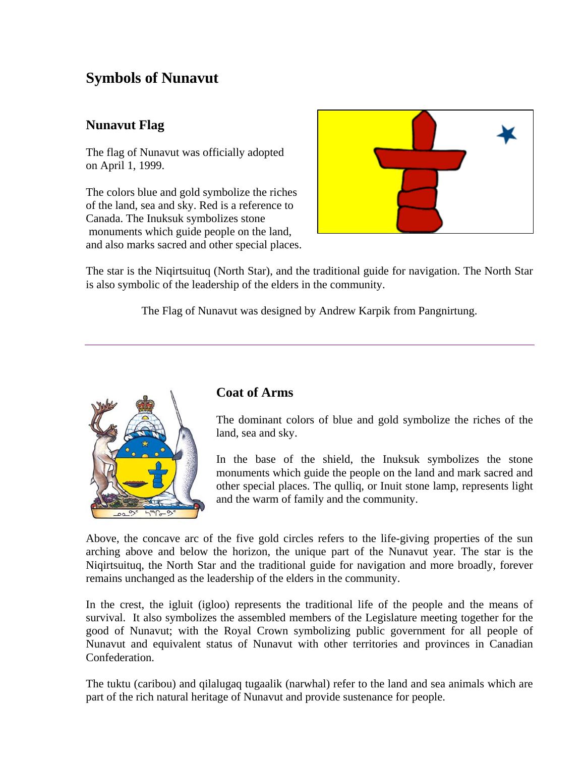# **Symbols of Nunavut**

## **Nunavut Flag**

The flag of Nunavut was officially adopted on April 1, 1999.

The colors blue and gold symbolize the riches of the land, sea and sky. Red is a reference to Canada. The Inuksuk symbolizes stone monuments which guide people on the land, and also marks sacred and other special places.



The star is the Niqirtsuituq (North Star), and the traditional guide for navigation. The North Star is also symbolic of the leadership of the elders in the community.

The Flag of Nunavut was designed by Andrew Karpik from Pangnirtung.



### **Coat of Arms**

The dominant colors of blue and gold symbolize the riches of the land, sea and sky.

In the base of the shield, the Inuksuk symbolizes the stone monuments which guide the people on the land and mark sacred and other special places. The qulliq, or Inuit stone lamp, represents light and the warm of family and the community.

Above, the concave arc of the five gold circles refers to the life-giving properties of the sun arching above and below the horizon, the unique part of the Nunavut year. The star is the Niqirtsuituq, the North Star and the traditional guide for navigation and more broadly, forever remains unchanged as the leadership of the elders in the community.

In the crest, the igluit (igloo) represents the traditional life of the people and the means of survival. It also symbolizes the assembled members of the Legislature meeting together for the good of Nunavut; with the Royal Crown symbolizing public government for all people of Nunavut and equivalent status of Nunavut with other territories and provinces in Canadian Confederation.

The tuktu (caribou) and qilalugaq tugaalik (narwhal) refer to the land and sea animals which are part of the rich natural heritage of Nunavut and provide sustenance for people.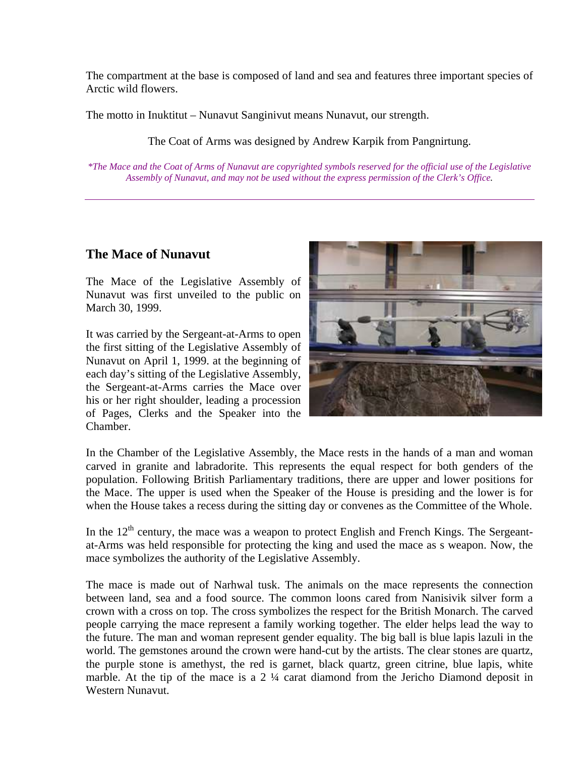The compartment at the base is composed of land and sea and features three important species of Arctic wild flowers.

The motto in Inuktitut – Nunavut Sanginivut means Nunavut, our strength.

The Coat of Arms was designed by Andrew Karpik from Pangnirtung.

*\*The Mace and the Coat of Arms of Nunavut are copyrighted symbols reserved for the official use of the Legislative Assembly of Nunavut, and may not be used without the express permission of the Clerk's Office.* 

### **The Mace of Nunavut**

The Mace of the Legislative Assembly of Nunavut was first unveiled to the public on March 30, 1999.

It was carried by the Sergeant-at-Arms to open the first sitting of the Legislative Assembly of Nunavut on April 1, 1999. at the beginning of each day's sitting of the Legislative Assembly, the Sergeant-at-Arms carries the Mace over his or her right shoulder, leading a procession of Pages, Clerks and the Speaker into the Chamber.



In the Chamber of the Legislative Assembly, the Mace rests in the hands of a man and woman carved in granite and labradorite. This represents the equal respect for both genders of the population. Following British Parliamentary traditions, there are upper and lower positions for the Mace. The upper is used when the Speaker of the House is presiding and the lower is for when the House takes a recess during the sitting day or convenes as the Committee of the Whole.

In the  $12<sup>th</sup>$  century, the mace was a weapon to protect English and French Kings. The Sergeantat-Arms was held responsible for protecting the king and used the mace as s weapon. Now, the mace symbolizes the authority of the Legislative Assembly.

The mace is made out of Narhwal tusk. The animals on the mace represents the connection between land, sea and a food source. The common loons cared from Nanisivik silver form a crown with a cross on top. The cross symbolizes the respect for the British Monarch. The carved people carrying the mace represent a family working together. The elder helps lead the way to the future. The man and woman represent gender equality. The big ball is blue lapis lazuli in the world. The gemstones around the crown were hand-cut by the artists. The clear stones are quartz, the purple stone is amethyst, the red is garnet, black quartz, green citrine, blue lapis, white marble. At the tip of the mace is a 2  $\frac{1}{4}$  carat diamond from the Jericho Diamond deposit in Western Nunavut.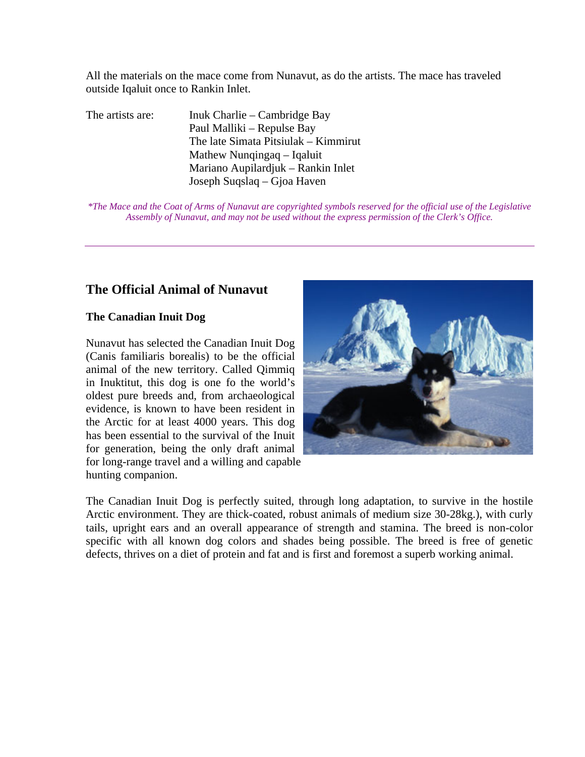All the materials on the mace come from Nunavut, as do the artists. The mace has traveled outside Iqaluit once to Rankin Inlet.

The artists are: Inuk Charlie – Cambridge Bay Paul Malliki – Repulse Bay The late Simata Pitsiulak – Kimmirut Mathew Nunqingaq – Iqaluit Mariano Aupilardjuk – Rankin Inlet Joseph Suqslaq – Gjoa Haven

*\*The Mace and the Coat of Arms of Nunavut are copyrighted symbols reserved for the official use of the Legislative Assembly of Nunavut, and may not be used without the express permission of the Clerk's Office.* 

### **The Official Animal of Nunavut**

#### **The Canadian Inuit Dog**

Nunavut has selected the Canadian Inuit Dog (Canis familiaris borealis) to be the official animal of the new territory. Called Qimmiq in Inuktitut, this dog is one fo the world's oldest pure breeds and, from archaeological evidence, is known to have been resident in the Arctic for at least 4000 years. This dog has been essential to the survival of the Inuit for generation, being the only draft animal for long-range travel and a willing and capable hunting companion.



The Canadian Inuit Dog is perfectly suited, through long adaptation, to survive in the hostile Arctic environment. They are thick-coated, robust animals of medium size 30-28kg.), with curly tails, upright ears and an overall appearance of strength and stamina. The breed is non-color specific with all known dog colors and shades being possible. The breed is free of genetic defects, thrives on a diet of protein and fat and is first and foremost a superb working animal.